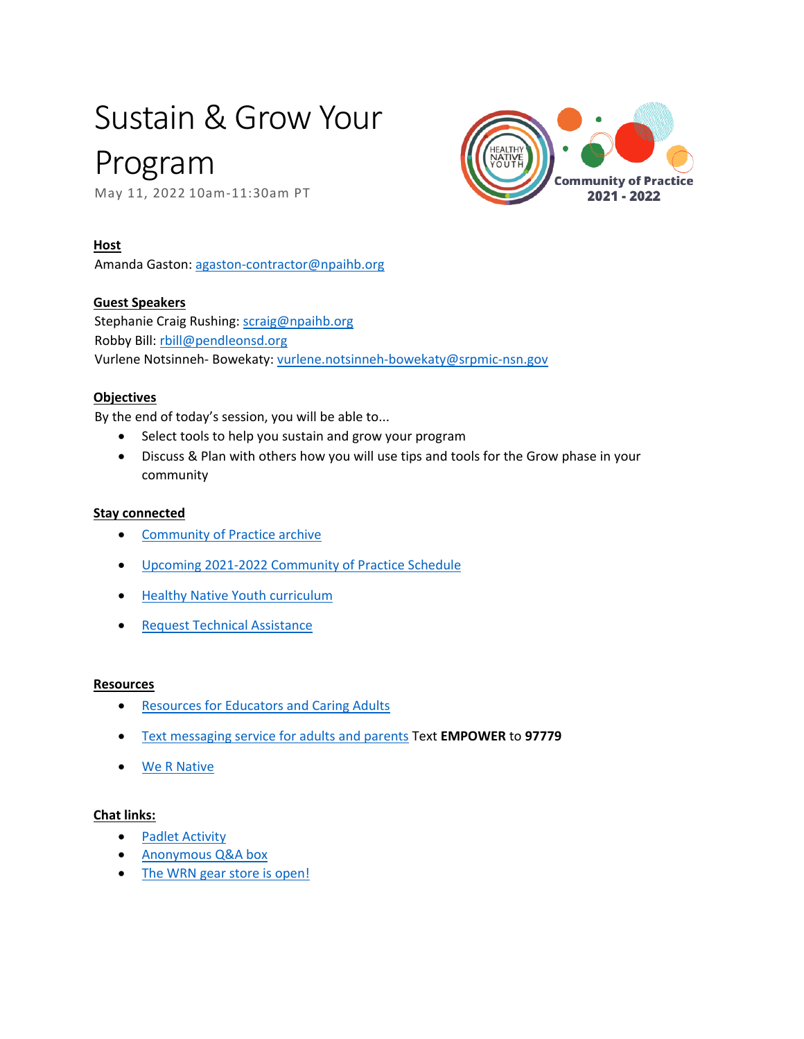# Sustain & Grow Your

## Program

May 11, 2022 10am-11:30am PT



#### **Host**

Amanda Gaston: [agaston-contractor@npaihb.org](mailto:agaston-contractor@npaihb.org) 

#### **Guest Speakers**

Stephanie Craig Rushing: scraig@npaihb.org Robby Bill: [rbill@pendleonsd.org](mailto:rbill@pendleonsd.org)  Vurlene Notsinneh- Bowekaty: [vurlene.notsinneh-bowekaty@srpmic-nsn.gov](mailto:vurlene.notsinneh-bowekaty@srpmic-nsn.gov) 

#### **Objectives**

By the end of today's session, you will be able to...

- Select tools to help you sustain and grow your program
- Discuss & Plan with others how you will use tips and tools for the Grow phase in your community

#### **Stay connected**

- [Community of Practice archive](https://www.healthynativeyouth.org/community-of-practice-sessions/)
- [Upcoming 2021-2022 Community of Practice Schedule](https://www.healthynativeyouth.org/community-of-practice/)
- [Healthy Native Youth curriculum](https://www.healthynativeyouth.org/curriculum/)
- [Request Technical Assistance](https://www.healthynativeyouth.org/request/)

#### **Resources**

- [Resources for Educators and Caring Adults](http://www.healthynativeyouth.org/resources/)
- [Text messaging service for adults and parents](https://www.healthynativeyouth.org/resources/talking-is-power-tools-for-parents/) Text **EMPOWER** to **97779**
- [We R Native](http://www.wernative.org/)

#### **Chat links:**

- **[Padlet Activity](https://padlet.com/wernative/z88ewd93s4xwdemt)**
- Anonymous Q&A box
- [The WRN gear store is open!](https://www.wernative.org/?pagename=/gear/promote-wrn)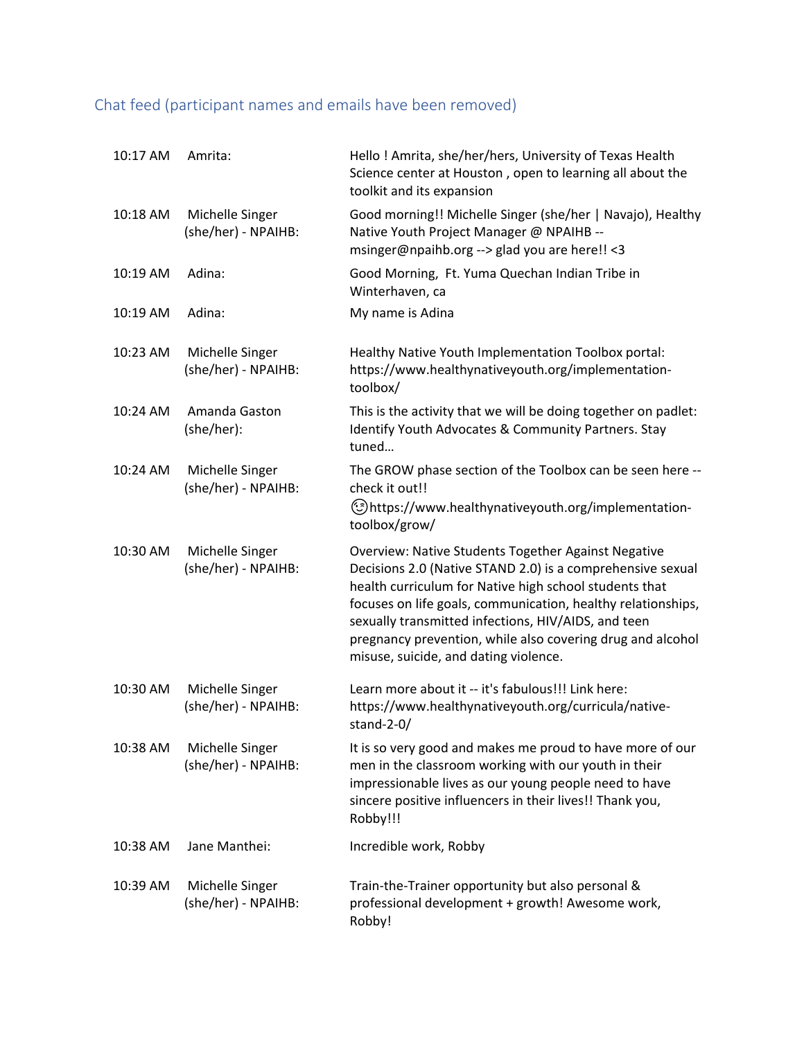### Chat feed (participant names and emails have been removed)

| 10:17 AM | Amrita:                                | Hello! Amrita, she/her/hers, University of Texas Health<br>Science center at Houston, open to learning all about the<br>toolkit and its expansion                                                                                                                                                                                                                                                         |
|----------|----------------------------------------|-----------------------------------------------------------------------------------------------------------------------------------------------------------------------------------------------------------------------------------------------------------------------------------------------------------------------------------------------------------------------------------------------------------|
| 10:18 AM | Michelle Singer<br>(she/her) - NPAIHB: | Good morning!! Michelle Singer (she/her   Navajo), Healthy<br>Native Youth Project Manager @ NPAIHB --<br>msinger@npaihb.org --> glad you are here!! <3                                                                                                                                                                                                                                                   |
| 10:19 AM | Adina:                                 | Good Morning, Ft. Yuma Quechan Indian Tribe in<br>Winterhaven, ca                                                                                                                                                                                                                                                                                                                                         |
| 10:19 AM | Adina:                                 | My name is Adina                                                                                                                                                                                                                                                                                                                                                                                          |
| 10:23 AM | Michelle Singer<br>(she/her) - NPAIHB: | Healthy Native Youth Implementation Toolbox portal:<br>https://www.healthynativeyouth.org/implementation-<br>toolbox/                                                                                                                                                                                                                                                                                     |
| 10:24 AM | Amanda Gaston<br>(she/her):            | This is the activity that we will be doing together on padlet:<br>Identify Youth Advocates & Community Partners. Stay<br>tuned                                                                                                                                                                                                                                                                            |
| 10:24 AM | Michelle Singer<br>(she/her) - NPAIHB: | The GROW phase section of the Toolbox can be seen here --<br>check it out!!<br>-https://www.healthynativeyouth.org/implementation(رئ)                                                                                                                                                                                                                                                                     |
|          |                                        | toolbox/grow/                                                                                                                                                                                                                                                                                                                                                                                             |
| 10:30 AM | Michelle Singer<br>(she/her) - NPAIHB: | Overview: Native Students Together Against Negative<br>Decisions 2.0 (Native STAND 2.0) is a comprehensive sexual<br>health curriculum for Native high school students that<br>focuses on life goals, communication, healthy relationships,<br>sexually transmitted infections, HIV/AIDS, and teen<br>pregnancy prevention, while also covering drug and alcohol<br>misuse, suicide, and dating violence. |
| 10:30 AM | Michelle Singer<br>(she/her) - NPAIHB: | Learn more about it -- it's fabulous!!! Link here:<br>https://www.healthynativeyouth.org/curricula/native-<br>stand-2-0/                                                                                                                                                                                                                                                                                  |
| 10:38 AM | Michelle Singer<br>(she/her) - NPAIHB: | It is so very good and makes me proud to have more of our<br>men in the classroom working with our youth in their<br>impressionable lives as our young people need to have<br>sincere positive influencers in their lives!! Thank you,<br>Robby!!!                                                                                                                                                        |
| 10:38 AM | Jane Manthei:                          | Incredible work, Robby                                                                                                                                                                                                                                                                                                                                                                                    |
| 10:39 AM | Michelle Singer<br>(she/her) - NPAIHB: | Train-the-Trainer opportunity but also personal &<br>professional development + growth! Awesome work,<br>Robby!                                                                                                                                                                                                                                                                                           |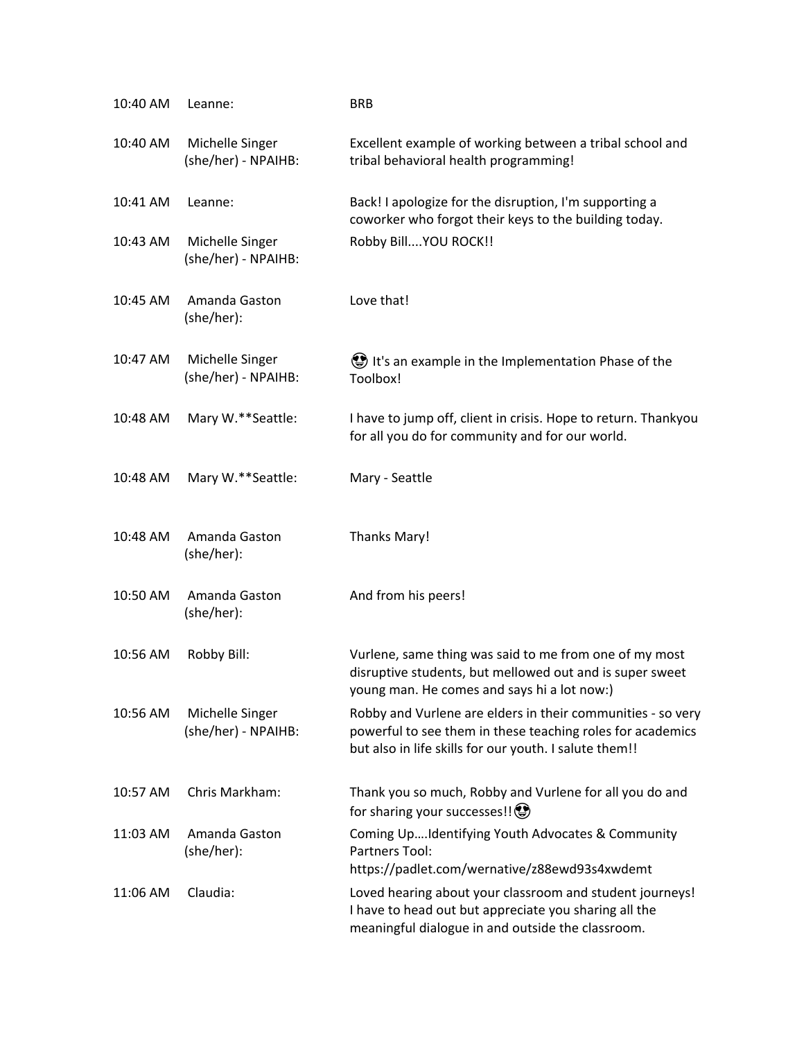| 10:40 AM | Leanne:                                | <b>BRB</b>                                                                                                                                                                          |
|----------|----------------------------------------|-------------------------------------------------------------------------------------------------------------------------------------------------------------------------------------|
| 10:40 AM | Michelle Singer<br>(she/her) - NPAIHB: | Excellent example of working between a tribal school and<br>tribal behavioral health programming!                                                                                   |
| 10:41 AM | Leanne:                                | Back! I apologize for the disruption, I'm supporting a<br>coworker who forgot their keys to the building today.                                                                     |
| 10:43 AM | Michelle Singer<br>(she/her) - NPAIHB: | Robby Bill YOU ROCK!!                                                                                                                                                               |
| 10:45 AM | Amanda Gaston<br>(she/her):            | Love that!                                                                                                                                                                          |
| 10:47 AM | Michelle Singer<br>(she/her) - NPAIHB: | It's an example in the Implementation Phase of the<br>Toolbox!                                                                                                                      |
| 10:48 AM | Mary W.**Seattle:                      | I have to jump off, client in crisis. Hope to return. Thankyou<br>for all you do for community and for our world.                                                                   |
| 10:48 AM | Mary W.**Seattle:                      | Mary - Seattle                                                                                                                                                                      |
| 10:48 AM | Amanda Gaston<br>(she/her):            | <b>Thanks Mary!</b>                                                                                                                                                                 |
| 10:50 AM | Amanda Gaston<br>(she/her):            | And from his peers!                                                                                                                                                                 |
| 10:56 AM | Robby Bill:                            | Vurlene, same thing was said to me from one of my most<br>disruptive students, but mellowed out and is super sweet<br>young man. He comes and says hi a lot now:)                   |
| 10:56 AM | Michelle Singer<br>(she/her) - NPAIHB: | Robby and Vurlene are elders in their communities - so very<br>powerful to see them in these teaching roles for academics<br>but also in life skills for our youth. I salute them!! |
| 10:57 AM | Chris Markham:                         | Thank you so much, Robby and Vurlene for all you do and<br>for sharing your successes!! <a></a>                                                                                     |
| 11:03 AM | Amanda Gaston<br>(she/her):            | Coming UpIdentifying Youth Advocates & Community<br>Partners Tool:<br>https://padlet.com/wernative/z88ewd93s4xwdemt                                                                 |
| 11:06 AM | Claudia:                               | Loved hearing about your classroom and student journeys!<br>I have to head out but appreciate you sharing all the<br>meaningful dialogue in and outside the classroom.              |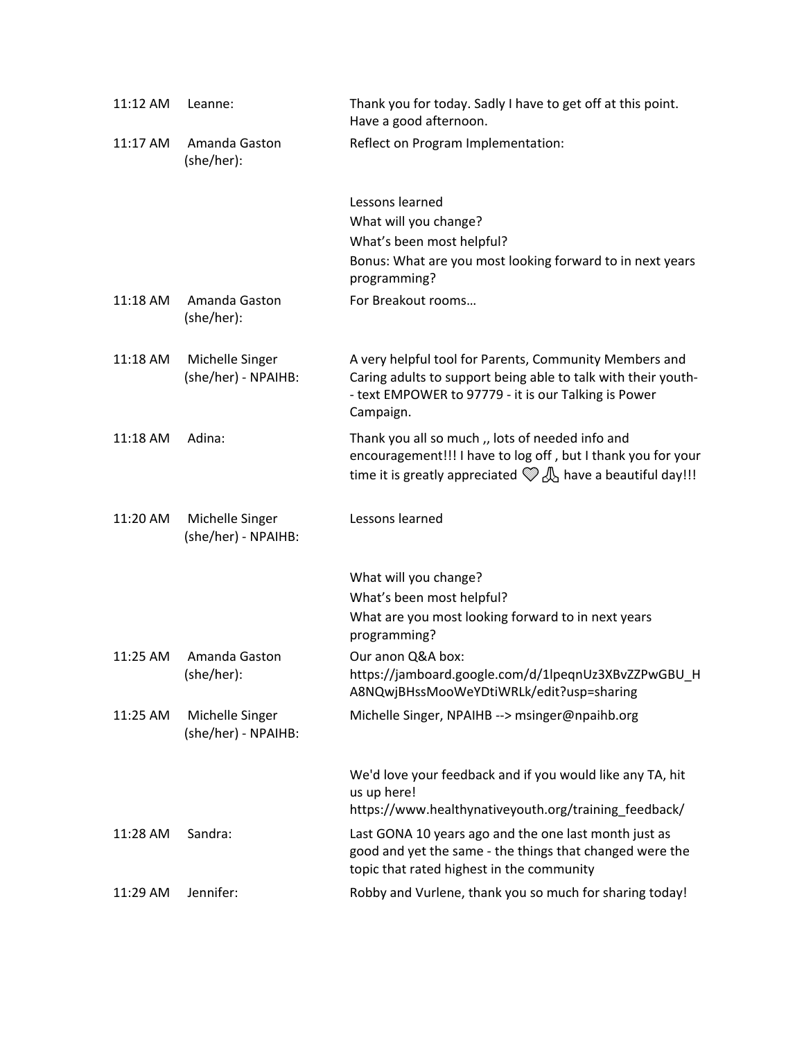| 11:12 AM | Leanne:                                | Thank you for today. Sadly I have to get off at this point.<br>Have a good afternoon.                                                                                                                |
|----------|----------------------------------------|------------------------------------------------------------------------------------------------------------------------------------------------------------------------------------------------------|
| 11:17 AM | Amanda Gaston<br>(she/her):            | Reflect on Program Implementation:                                                                                                                                                                   |
|          |                                        | Lessons learned<br>What will you change?                                                                                                                                                             |
|          |                                        | What's been most helpful?<br>Bonus: What are you most looking forward to in next years<br>programming?                                                                                               |
| 11:18 AM | Amanda Gaston<br>(she/her):            | For Breakout rooms                                                                                                                                                                                   |
| 11:18 AM | Michelle Singer<br>(she/her) - NPAIHB: | A very helpful tool for Parents, Community Members and<br>Caring adults to support being able to talk with their youth-<br>- text EMPOWER to 97779 - it is our Talking is Power<br>Campaign.         |
| 11:18 AM | Adina:                                 | Thank you all so much ,, lots of needed info and<br>encouragement!!! I have to log off, but I thank you for your<br>time it is greatly appreciated $\mathcal{Q} \mathcal{A}$ have a beautiful day!!! |
| 11:20 AM | Michelle Singer<br>(she/her) - NPAIHB: | Lessons learned                                                                                                                                                                                      |
|          |                                        | What will you change?                                                                                                                                                                                |
|          |                                        | What's been most helpful?<br>What are you most looking forward to in next years<br>programming?                                                                                                      |
| 11:25 AM | Amanda Gaston<br>(she/her):            | Our anon Q&A box:<br>https://jamboard.google.com/d/1lpeqnUz3XBvZZPwGBU H<br>A8NQwjBHssMooWeYDtiWRLk/edit?usp=sharing                                                                                 |
| 11:25 AM | Michelle Singer<br>(she/her) - NPAIHB: | Michelle Singer, NPAIHB --> msinger@npaihb.org                                                                                                                                                       |
|          |                                        | We'd love your feedback and if you would like any TA, hit<br>us up here!<br>https://www.healthynativeyouth.org/training feedback/                                                                    |
| 11:28 AM | Sandra:                                | Last GONA 10 years ago and the one last month just as<br>good and yet the same - the things that changed were the<br>topic that rated highest in the community                                       |
| 11:29 AM | Jennifer:                              | Robby and Vurlene, thank you so much for sharing today!                                                                                                                                              |